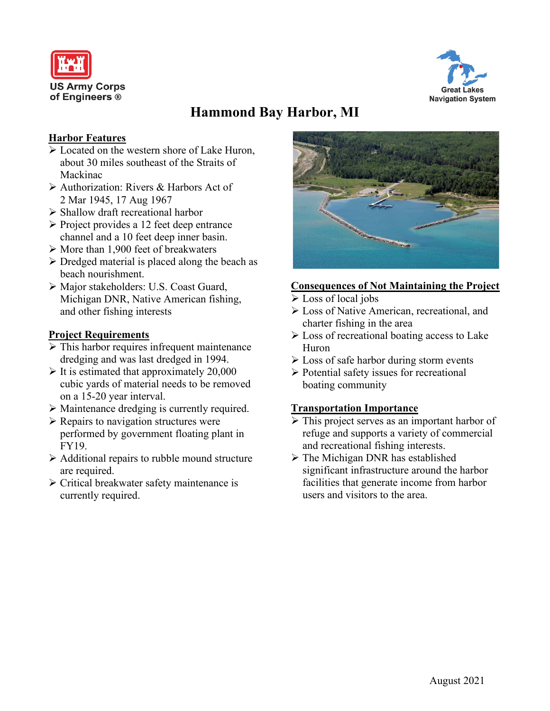



# **Hammond Bay Harbor, MI**

### **Harbor Features**

- Located on the western shore of Lake Huron, about 30 miles southeast of the Straits of Mackinac
- Authorization: Rivers & Harbors Act of 2 Mar 1945, 17 Aug 1967
- $\triangleright$  Shallow draft recreational harbor
- $\triangleright$  Project provides a 12 feet deep entrance channel and a 10 feet deep inner basin.
- $\triangleright$  More than 1,900 feet of breakwaters
- $\triangleright$  Dredged material is placed along the beach as beach nourishment.
- Major stakeholders: U.S. Coast Guard, Michigan DNR, Native American fishing, and other fishing interests

#### **Project Requirements**

- $\triangleright$  This harbor requires infrequent maintenance dredging and was last dredged in 1994.
- $\triangleright$  It is estimated that approximately 20,000 cubic yards of material needs to be removed on a 15-20 year interval.
- Maintenance dredging is currently required.
- $\triangleright$  Repairs to navigation structures were performed by government floating plant in FY19.
- $\triangleright$  Additional repairs to rubble mound structure are required.
- $\triangleright$  Critical breakwater safety maintenance is currently required.



#### **Consequences of Not Maintaining the Project**

- Loss of local jobs
- Loss of Native American, recreational, and charter fishing in the area
- Loss of recreational boating access to Lake Huron
- $\triangleright$  Loss of safe harbor during storm events
- $\triangleright$  Potential safety issues for recreational boating community

#### **Transportation Importance**

- $\triangleright$  This project serves as an important harbor of refuge and supports a variety of commercial and recreational fishing interests.
- $\triangleright$  The Michigan DNR has established significant infrastructure around the harbor facilities that generate income from harbor users and visitors to the area.